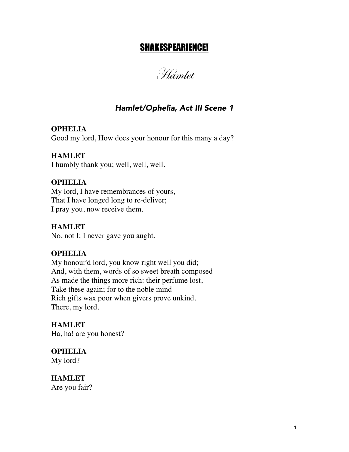# SHAKESPEARIENCE!

Hamlet

# *Hamlet/Ophelia, Act III Scene 1*

**OPHELIA** Good my lord, How does your honour for this many a day?

#### **HAMLET**

I humbly thank you; well, well, well.

#### **OPHELIA**

My lord, I have remembrances of yours, That I have longed long to re-deliver; I pray you, now receive them.

#### **HAMLET**

No, not I; I never gave you aught.

### **OPHELIA**

My honour'd lord, you know right well you did; And, with them, words of so sweet breath composed As made the things more rich: their perfume lost, Take these again; for to the noble mind Rich gifts wax poor when givers prove unkind. There, my lord.

**HAMLET** Ha, ha! are you honest?

**OPHELIA** My lord?

**HAMLET** Are you fair?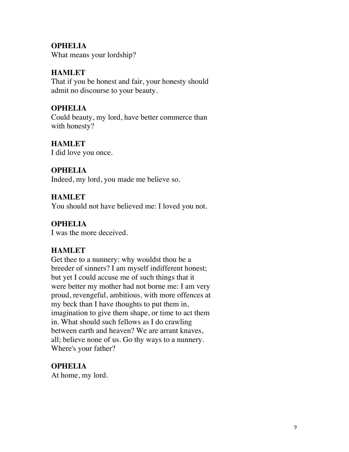## **OPHELIA**

What means your lordship?

# **HAMLET**

That if you be honest and fair, your honesty should admit no discourse to your beauty.

## **OPHELIA**

Could beauty, my lord, have better commerce than with honesty?

## **HAMLET**

I did love you once.

## **OPHELIA**

Indeed, my lord, you made me believe so.

## **HAMLET**

You should not have believed me: I loved you not.

## **OPHELIA**

I was the more deceived.

## **HAMLET**

Get thee to a nunnery: why wouldst thou be a breeder of sinners? I am myself indifferent honest; but yet I could accuse me of such things that it were better my mother had not borne me: I am very proud, revengeful, ambitious, with more offences at my beck than I have thoughts to put them in, imagination to give them shape, or time to act them in. What should such fellows as I do crawling between earth and heaven? We are arrant knaves, all; believe none of us. Go thy ways to a nunnery. Where's your father?

## **OPHELIA**

At home, my lord.